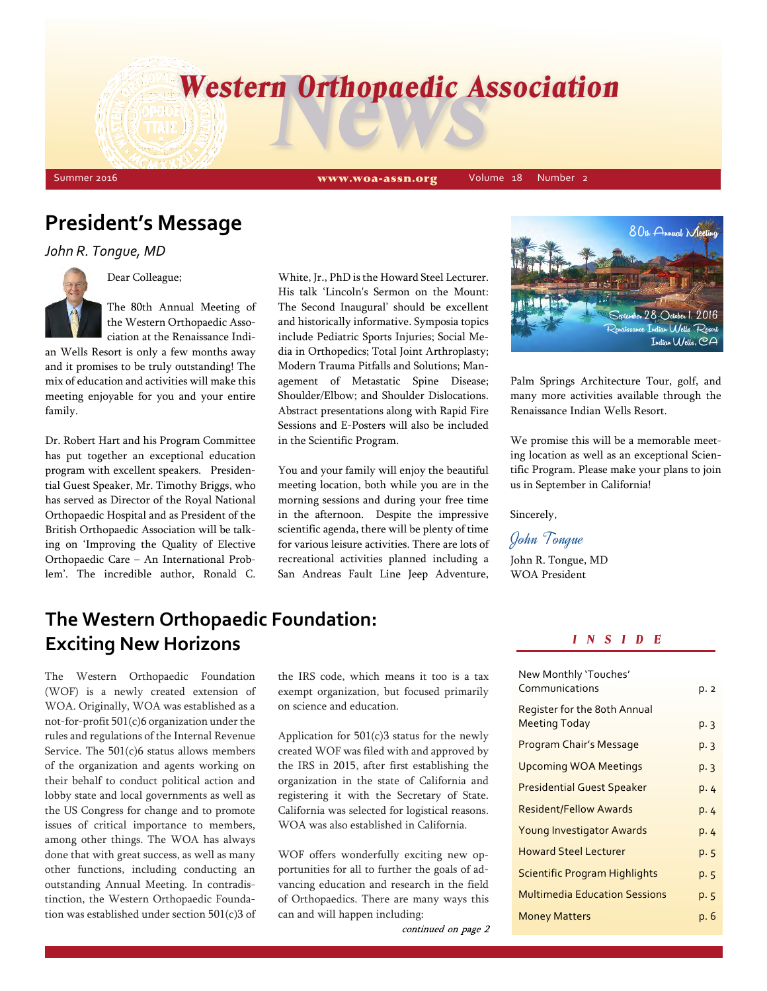# *Western Orthopaedic Association*<br>TRIE REAR

Summer 2016 Volume 18 Number 2 www.woa-assn.org Volume 18 Number 2

# **President's Message**

*John R. Tongue, MD*



Dear Colleague;

The 80th Annual Meeting of the Western Orthopaedic Association at the Renaissance Indi-

an Wells Resort is only a few months away and it promises to be truly outstanding! The mix of education and activities will make this meeting enjoyable for you and your entire family.

Dr. Robert Hart and his Program Committee has put together an exceptional education program with excellent speakers. Presidential Guest Speaker, Mr. Timothy Briggs, who has served as Director of the Royal National Orthopaedic Hospital and as President of the British Orthopaedic Association will be talking on 'Improving the Quality of Elective Orthopaedic Care – An International Problem'. The incredible author, Ronald C.

White, Jr., PhD is the Howard Steel Lecturer. His talk 'Lincoln's Sermon on the Mount: The Second Inaugural' should be excellent and historically informative. Symposia topics include Pediatric Sports Injuries; Social Media in Orthopedics; Total Joint Arthroplasty; Modern Trauma Pitfalls and Solutions; Management of Metastatic Spine Disease; Shoulder/Elbow; and Shoulder Dislocations. Abstract presentations along with Rapid Fire Sessions and E-Posters will also be included in the Scientific Program.

You and your family will enjoy the beautiful meeting location, both while you are in the morning sessions and during your free time in the afternoon. Despite the impressive scientific agenda, there will be plenty of time for various leisure activities. There are lots of recreational activities planned including a San Andreas Fault Line Jeep Adventure,



Palm Springs Architecture Tour, golf, and many more activities available through the Renaissance Indian Wells Resort.

We promise this will be a memorable meeting location as well as an exceptional Scientific Program. Please make your plans to join us in September in California!

Sincerely,

John Tongue

John R. Tongue, MD WOA President

# **The Western Orthopaedic Foundation: Exciting New Horizons**

The Western Orthopaedic Foundation (WOF) is a newly created extension of WOA. Originally, WOA was established as a not-for-profit 501(c)6 organization under the rules and regulations of the Internal Revenue Service. The 501(c)6 status allows members of the organization and agents working on their behalf to conduct political action and lobby state and local governments as well as the US Congress for change and to promote issues of critical importance to members, among other things. The WOA has always done that with great success, as well as many other functions, including conducting an outstanding Annual Meeting. In contradistinction, the Western Orthopaedic Foundation was established under section 501(c)3 of the IRS code, which means it too is a tax exempt organization, but focused primarily on science and education.

Application for 501(c)3 status for the newly created WOF was filed with and approved by the IRS in 2015, after first establishing the organization in the state of California and registering it with the Secretary of State. California was selected for logistical reasons. WOA was also established in California.

WOF offers wonderfully exciting new opportunities for all to further the goals of advancing education and research in the field of Orthopaedics. There are many ways this can and will happen including:

continued on page 2

#### *I N S I D E*

| New Monthly 'Touches'<br>Communications       | p. 2 |
|-----------------------------------------------|------|
| Register for the 8oth Annual<br>Meeting Today | p. 3 |
| Program Chair's Message                       | p. 3 |
| <b>Upcoming WOA Meetings</b>                  | p.3  |
| <b>Presidential Guest Speaker</b>             | p. 4 |
| <b>Resident/Fellow Awards</b>                 | p. 4 |
| Young Investigator Awards                     | p. 4 |
| <b>Howard Steel Lecturer</b>                  | p. 5 |
| <b>Scientific Program Highlights</b>          | p. 5 |
| <b>Multimedia Education Sessions</b>          | p. 5 |
| <b>Money Matters</b>                          | р. 6 |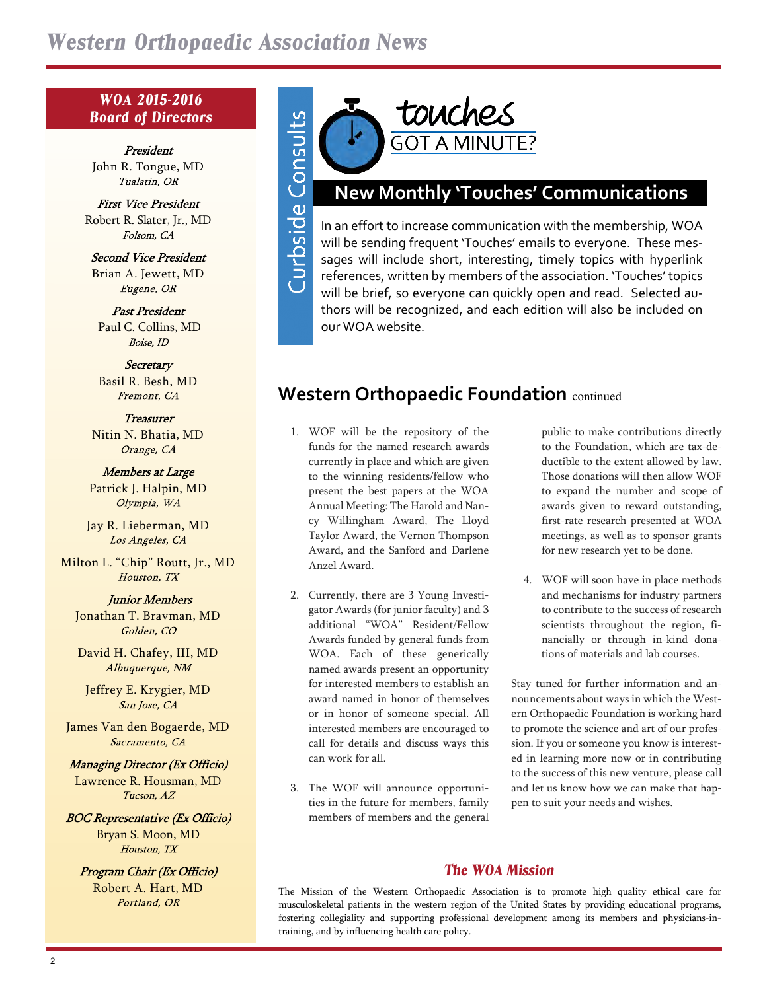Curbside Consults

### *WOA 2015-2016 Board of Directors*

President John R. Tongue, MD Tualatin, OR

**First Vice President** Robert R. Slater, Jr., MD Folsom, CA

**Second Vice President** Brian A. Jewett, MD Eugene, OR

**Past President** Paul C. Collins, MD Boise, ID

Secretary Basil R. Besh, MD Fremont, CA

**Treasurer** Nitin N. Bhatia, MD Orange, CA

Members at Large Patrick J. Halpin, MD Olympia, WA

Jay R. Lieberman, MD Los Angeles, CA

Milton L. "Chip" Routt, Jr., MD Houston, TX

**Junior Members** 

Jonathan T. Bravman, MD Golden, CO

David H. Chafey, III, MD Albuquerque, NM

Jeffrey E. Krygier, MD San Jose, CA

James Van den Bogaerde, MD Sacramento, CA

Managing Director (Ex Officio) Lawrence R. Housman, MD Tucson, AZ

**BOC Representative (Ex Officio)** Bryan S. Moon, MD Houston, TX

Program Chair (Ex Officio) Robert A. Hart, MD Portland, OR



# **New Monthly 'Touches' Communications**

In an effort to increase communication with the membership, WOA will be sending frequent 'Touches' emails to everyone. These messages will include short, interesting, timely topics with hyperlink references, written by members of the association. 'Touches' topics will be brief, so everyone can quickly open and read. Selected authors will be recognized, and each edition will also be included on our WOA website.

# **Western Orthopaedic Foundation** continued

- 1. WOF will be the repository of the funds for the named research awards currently in place and which are given to the winning residents/fellow who present the best papers at the WOA Annual Meeting: The Harold and Nancy Willingham Award, The Lloyd Taylor Award, the Vernon Thompson Award, and the Sanford and Darlene Anzel Award.
- 2. Currently, there are 3 Young Investigator Awards (for junior faculty) and 3 additional "WOA" Resident/Fellow Awards funded by general funds from WOA. Each of these generically named awards present an opportunity for interested members to establish an award named in honor of themselves or in honor of someone special. All interested members are encouraged to call for details and discuss ways this can work for all.
- 3. The WOF will announce opportunities in the future for members, family members of members and the general

public to make contributions directly to the Foundation, which are tax-deductible to the extent allowed by law. Those donations will then allow WOF to expand the number and scope of awards given to reward outstanding, first-rate research presented at WOA meetings, as well as to sponsor grants for new research yet to be done.

4. WOF will soon have in place methods and mechanisms for industry partners to contribute to the success of research scientists throughout the region, financially or through in-kind donations of materials and lab courses.

Stay tuned for further information and announcements about ways in which the Western Orthopaedic Foundation is working hard to promote the science and art of our profession. If you or someone you know is interested in learning more now or in contributing to the success of this new venture, please call and let us know how we can make that happen to suit your needs and wishes.

## *The WOA Mission*

The Mission of the Western Orthopaedic Association is to promote high quality ethical care for musculoskeletal patients in the western region of the United States by providing educational programs, fostering collegiality and supporting professional development among its members and physicians-intraining, and by influencing health care policy.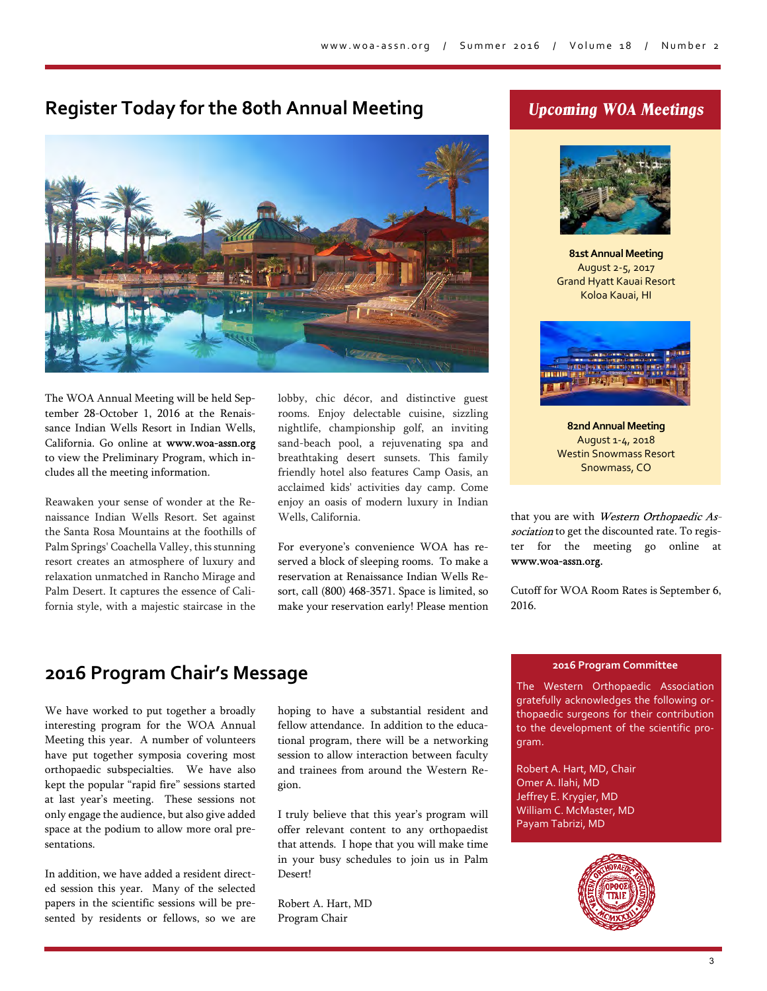## **Register Today for the 80th Annual Meeting**



The WOA Annual Meeting will be held September 28-October 1, 2016 at the Renaissance Indian Wells Resort in Indian Wells, California. Go online at to view the Preliminary Program, which includes all the meeting information.

Reawaken your sense of wonder at the Renaissance Indian Wells Resort. Set against the Santa Rosa Mountains at the foothills of Palm Springs' Coachella Valley, this stunning resort creates an atmosphere of luxury and relaxation unmatched in Rancho Mirage and Palm Desert. It captures the essence of California style, with a majestic staircase in the lobby, chic décor, and distinctive guest rooms. Enjoy delectable cuisine, sizzling nightlife, championship golf, an inviting sand-beach pool, a rejuvenating spa and breathtaking desert sunsets. This family friendly hotel also features Camp Oasis, an acclaimed kids' activities day camp. Come enjoy an oasis of modern luxury in Indian Wells, California.

For everyone's convenience WOA has reserved a block of sleeping rooms. To make a reservation at Renaissance Indian Wells Resort, call (800) 468-3571. Space is limited, so make your reservation early! Please mention

## *Upcoming WOA Meetings*



**81st Annual Meeting** August 2-5, 2017 Grand Hyatt Kauai Resort Koloa Kauai, HI



**82nd Annual Meeting** August 1-4, 2018 Westin Snowmass Resort Snowmass, CO

that you are with Western Orthopaedic Association to get the discounted rate. To register for the meeting go online at www.woa-assn.org.

Cutoff for WOA Room Rates is September 6, 2016.

## **2016 Program Chair's Message**

We have worked to put together a broadly interesting program for the WOA Annual Meeting this year. A number of volunteers have put together symposia covering most orthopaedic subspecialties. We have also kept the popular "rapid fire" sessions started at last year's meeting. These sessions not only engage the audience, but also give added space at the podium to allow more oral presentations.

In addition, we have added a resident directed session this year. Many of the selected papers in the scientific sessions will be presented by residents or fellows, so we are

hoping to have a substantial resident and fellow attendance. In addition to the educational program, there will be a networking session to allow interaction between faculty and trainees from around the Western Region.

I truly believe that this year's program will offer relevant content to any orthopaedist that attends. I hope that you will make time in your busy schedules to join us in Palm Desert!

Robert A. Hart, MD Program Chair

#### **2016 Program Committee**

The Western Orthopaedic Association gratefully acknowledges the following orthopaedic surgeons for their contribution to the development of the scientific program.

Robert A. Hart, MD, Chair Omer A. Ilahi, MD Jeffrey E. Krygier, MD William C. McMaster, MD Payam Tabrizi, MD

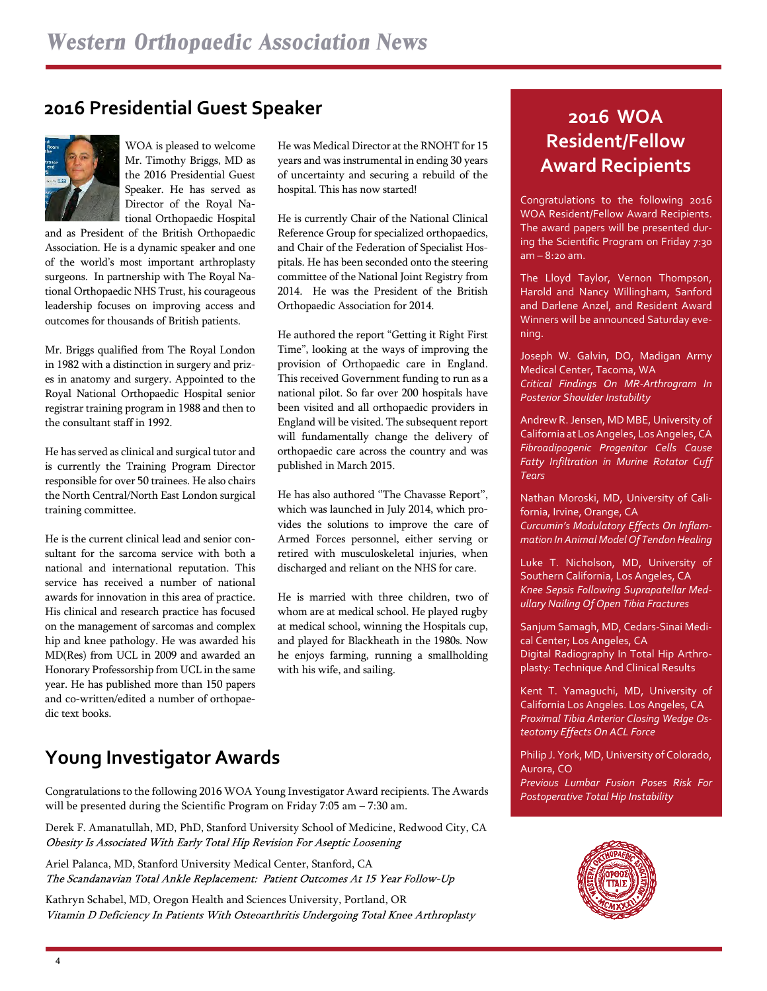## **2016 Presidential Guest Speaker**



WOA is pleased to welcome Mr. Timothy Briggs, MD as the 2016 Presidential Guest Speaker. He has served as Director of the Royal National Orthopaedic Hospital

and as President of the British Orthopaedic Association. He is a dynamic speaker and one of the world's most important arthroplasty surgeons. In partnership with The Royal National Orthopaedic NHS Trust, his courageous leadership focuses on improving access and outcomes for thousands of British patients.

Mr. Briggs qualified from The Royal London in 1982 with a distinction in surgery and prizes in anatomy and surgery. Appointed to the Royal National Orthopaedic Hospital senior registrar training program in 1988 and then to the consultant staff in 1992.

He has served as clinical and surgical tutor and is currently the Training Program Director responsible for over 50 trainees. He also chairs the North Central/North East London surgical training committee.

He is the current clinical lead and senior consultant for the sarcoma service with both a national and international reputation. This service has received a number of national awards for innovation in this area of practice. His clinical and research practice has focused on the management of sarcomas and complex hip and knee pathology. He was awarded his MD(Res) from UCL in 2009 and awarded an Honorary Professorship from UCL in the same year. He has published more than 150 papers and co-written/edited a number of orthopaedic text books.

He was Medical Director at the RNOHT for 15 years and was instrumental in ending 30 years of uncertainty and securing a rebuild of the hospital. This has now started!

He is currently Chair of the National Clinical Reference Group for specialized orthopaedics, and Chair of the Federation of Specialist Hospitals. He has been seconded onto the steering committee of the National Joint Registry from 2014. He was the President of the British Orthopaedic Association for 2014.

He authored the report "Getting it Right First Time", looking at the ways of improving the provision of Orthopaedic care in England. This received Government funding to run as a national pilot. So far over 200 hospitals have been visited and all orthopaedic providers in England will be visited. The subsequent report will fundamentally change the delivery of orthopaedic care across the country and was published in March 2015.

He has also authored ''The Chavasse Report'', which was launched in July 2014, which provides the solutions to improve the care of Armed Forces personnel, either serving or retired with musculoskeletal injuries, when discharged and reliant on the NHS for care.

He is married with three children, two of whom are at medical school. He played rugby at medical school, winning the Hospitals cup, and played for Blackheath in the 1980s. Now he enjoys farming, running a smallholding with his wife, and sailing.

# **Young Investigator Awards**

*Postoperative Total Hip Instability* Congratulations to the following 2016 WOA Young Investigator Award recipients. The Awards will be presented during the Scientific Program on Friday 7:05 am – 7:30 am.

Derek F. Amanatullah, MD, PhD, Stanford University School of Medicine, Redwood City, CA Obesity Is Associated With Early Total Hip Revision For Aseptic Loosening

Ariel Palanca, MD, Stanford University Medical Center, Stanford, CA The Scandanavian Total Ankle Replacement: Patient Outcomes At 15 Year Follow-Up

Kathryn Schabel, MD, Oregon Health and Sciences University, Portland, OR Vitamin D Deficiency In Patients With Osteoarthritis Undergoing Total Knee Arthroplasty

# **2016 WOA Resident/Fellow Award Recipients**

Congratulations to the following 2016 WOA Resident/Fellow Award Recipients. The award papers will be presented during the Scientific Program on Friday 7:30 am – 8:20 am.

The Lloyd Taylor, Vernon Thompson, Harold and Nancy Willingham, Sanford and Darlene Anzel, and Resident Award Winners will be announced Saturday evening.

Joseph W. Galvin, DO, Madigan Army Medical Center, Tacoma, WA *Critical Findings On MR-Arthrogram In Posterior Shoulder Instability*

Andrew R. Jensen, MD MBE, University of California at Los Angeles, Los Angeles, CA *Fibroadipogenic Progenitor Cells Cause Fatty Infiltration in Murine Rotator Cuff Tears*

Nathan Moroski, MD, University of California, Irvine, Orange, CA *Curcumin's Modulatory Effects On Inflammation In Animal Model Of Tendon Healing*

Luke T. Nicholson, MD, University of Southern California, Los Angeles, CA *Knee Sepsis Following Suprapatellar Medullary Nailing Of Open Tibia Fractures*

Sanjum Samagh, MD, Cedars-Sinai Medical Center; Los Angeles, CA Digital Radiography In Total Hip Arthroplasty: Technique And Clinical Results

Kent T. Yamaguchi, MD, University of California Los Angeles. Los Angeles, CA *Proximal Tibia Anterior Closing Wedge Osteotomy Effects On ACL Force*

Philip J. York, MD, University of Colorado, Aurora, CO *Previous Lumbar Fusion Poses Risk For*

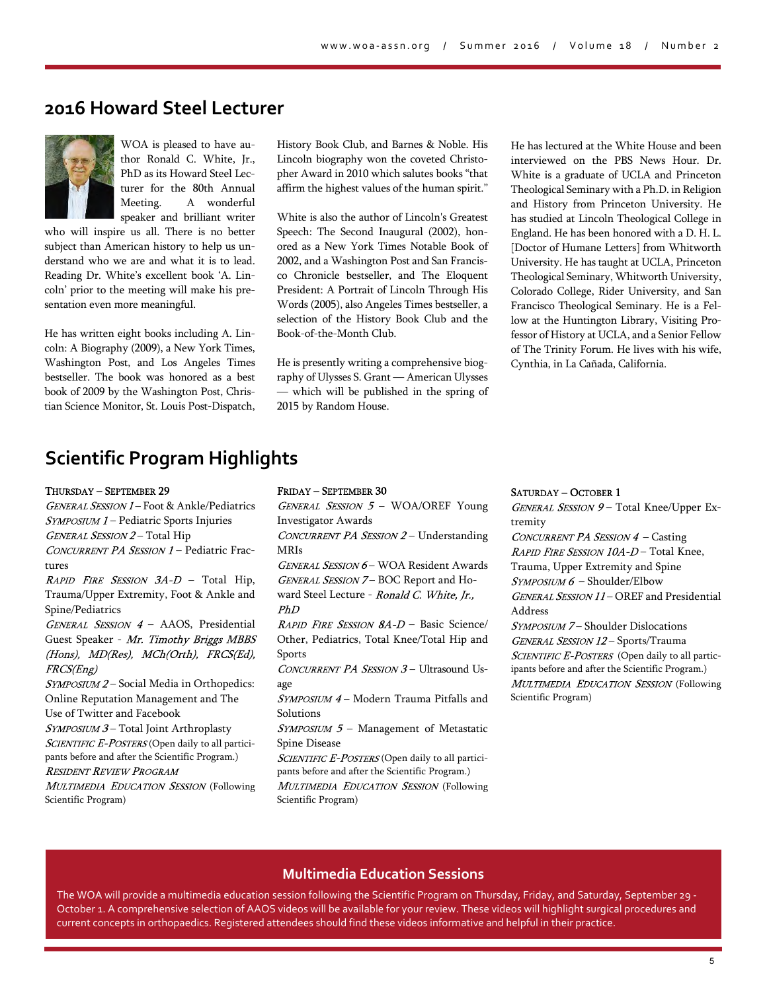## **2016 Howard Steel Lecturer**



WOA is pleased to have author Ronald C. White, Jr., PhD as its Howard Steel Lecturer for the 80th Annual Meeting. A wonderful speaker and brilliant writer

who will inspire us all. There is no better subject than American history to help us understand who we are and what it is to lead. Reading Dr. White's excellent book 'A. Lincoln' prior to the meeting will make his presentation even more meaningful.

He has written eight books including A. Lincoln: A Biography (2009), a New York Times, Washington Post, and Los Angeles Times bestseller. The book was honored as a best book of 2009 by the Washington Post, Christian Science Monitor, St. Louis Post-Dispatch, History Book Club, and Barnes & Noble. His Lincoln biography won the coveted Christopher Award in 2010 which salutes books "that affirm the highest values of the human spirit."

White is also the author of Lincoln's Greatest Speech: The Second Inaugural (2002), honored as a New York Times Notable Book of 2002, and a Washington Post and San Francisco Chronicle bestseller, and The Eloquent President: A Portrait of Lincoln Through His Words (2005), also Angeles Times bestseller, a selection of the History Book Club and the Book-of-the-Month Club.

He is presently writing a comprehensive biography of Ulysses S. Grant — American Ulysses — which will be published in the spring of 2015 by Random House.

He has lectured at the White House and been interviewed on the PBS News Hour. Dr. White is a graduate of UCLA and Princeton Theological Seminary with a Ph.D. in Religion and History from Princeton University. He has studied at Lincoln Theological College in England. He has been honored with a D. H. L. [Doctor of Humane Letters] from Whitworth University. He has taught at UCLA, Princeton Theological Seminary, Whitworth University, Colorado College, Rider University, and San Francisco Theological Seminary. He is a Fellow at the Huntington Library, Visiting Professor of History at UCLA, and a Senior Fellow of The Trinity Forum. He lives with his wife, Cynthia, in La Cañada, California.

# **Scientific Program Highlights**

THURSDAY - SEPTEMBER 29

GENERAL SESSION 1 - Foot & Ankle/Pediatrics  $S<sub>YMPOSIUM</sub> 1 -$  Pediatric Sports Injuries GENERAL SESSION 2-Total Hip CONCURRENT PA SESSION 1 - Pediatric Fractures RAPID FIRE SESSION  $3A-D$  – Total Hip, Trauma/Upper Extremity, Foot & Ankle and Spine/Pediatrics GENERAL SESSION 4 - AAOS, Presidential Guest Speaker - Mr. Timothy Briggs MBBS (Hons), MD(Res), MCh(Orth), FRCS(Ed), FRCS(Eng) SYMPOSIUM 2-Social Media in Orthopedics: Online Reputation Management and The Use of Twitter and Facebook SYMPOSIUM 3-Total Joint Arthroplasty SCIENTIFIC E-POSTERS (Open daily to all participants before and after the Scientific Program.) **RESIDENT REVIEW PROGRAM** MULTIMEDIA EDUCATION SESSION (Following Scientific Program)

FRIDAY - SEPTEMBER 30

GENERAL SESSION  $5$  – WOA/OREF Young Investigator Awards CONCURRENT PA SESSION 2 - Understanding MRIs GENERAL SESSION 6- WOA Resident Awards GENERAL SESSION 7- BOC Report and Howard Steel Lecture - Ronald C. White, Ir.,  $PhD$ RAPID FIRE SESSION 8A-D - Basic Science/ Other, Pediatrics, Total Knee/Total Hip and Sports CONCURRENT PA SESSION 3 - Ultrasound Usage SYMPOSIUM 4 - Modern Trauma Pitfalls and Solutions  $SVMPOSITION$  5 – Management of Metastatic Spine Disease SCIENTIFIC E-POSTERS (Open daily to all participants before and after the Scientific Program.)

MULTIMEDIA EDUCATION SESSION (Following Scientific Program)

SATURDAY - OCTOBER 1

Scientific Program)

 $GENERAL$  SESSION  $9$  – Total Knee/Upper Extremity CONCURRENT PA SESSION  $4$  – Casting RAPID FIRE SESSION 10A-D - Total Knee, Trauma, Upper Extremity and Spine  $SVMPOSITION 6 - Shoulder/Elbow$  $GENERAL$  SESSION  $11$  – OREF and Presidential Address SYMPOSIUM 7- Shoulder Dislocations GENERAL SESSION 12-Sports/Trauma SCIENTIFIC E-POSTERS (Open daily to all participants before and after the Scientific Program.) MULTIMEDIA EDUCATION SESSION (Following

#### **Multimedia Education Sessions**

The WOA will provide a multimedia education session following the Scientific Program on Thursday, Friday, and Saturday, September 29 - October 1. A comprehensive selection of AAOS videos will be available for your review. These videos will highlight surgical procedures and current concepts in orthopaedics. Registered attendees should find these videos informative and helpful in their practice.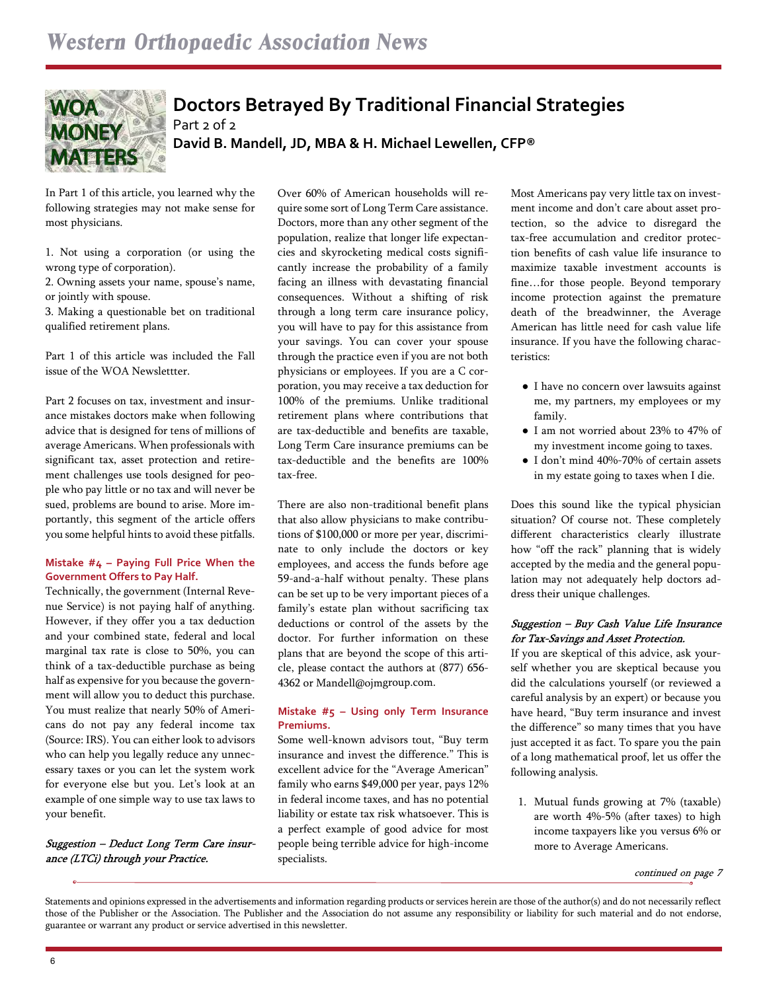

## **Doctors Betrayed By Traditional Financial Strategies** Part 2 of 2 **David B. Mandell, JD, MBA & H. Michael Lewellen, CFP®**

In Part 1 of this article, you learned why the following strategies may not make sense for most physicians.

1. Not using a corporation (or using the wrong type of corporation).

2. Owning assets your name, spouse's name, or jointly with spouse.

3. Making a questionable bet on traditional qualified retirement plans.

Part 1 of this article was included the Fall issue of the WOA Newslettter.

Part 2 focuses on tax, investment and insurance mistakes doctors make when following advice that is designed for tens of millions of average Americans. When professionals with significant tax, asset protection and retirement challenges use tools designed for people who pay little or no tax and will never be sued, problems are bound to arise. More importantly, this segment of the article offers you some helpful hints to avoid these pitfalls.

#### **Mistake #4 – Paying Full Price When the Government Offers to Pay Half.**

Technically, the government (Internal Revenue Service) is not paying half of anything. However, if they offer you a tax deduction and your combined state, federal and local marginal tax rate is close to 50%, you can think of a tax-deductible purchase as being half as expensive for you because the government will allow you to deduct this purchase. You must realize that nearly 50% of Americans do not pay any federal income tax (Source: IRS). You can either look to advisors who can help you legally reduce any unnecessary taxes or you can let the system work for everyone else but you. Let's look at an example of one simple way to use tax laws to your benefit.

Suggestion - Deduct Long Term Care insurance (LTCi) through your Practice.

Over 60% of American households will require some sort of Long Term Care assistance. Doctors, more than any other segment of the population, realize that longer life expectancies and skyrocketing medical costs significantly increase the probability of a family facing an illness with devastating financial consequences. Without a shifting of risk through a long term care insurance policy, you will have to pay for this assistance from your savings. You can cover your spouse through the practice even if you are not both physicians or employees. If you are a C corporation, you may receive a tax deduction for 100% of the premiums. Unlike traditional retirement plans where contributions that are tax-deductible and benefits are taxable, Long Term Care insurance premiums can be tax-deductible and the benefits are 100% tax-free.

There are also non-traditional benefit plans that also allow physicians to make contributions of \$100,000 or more per year, discriminate to only include the doctors or key employees, and access the funds before age 59-and-a-half without penalty. These plans can be set up to be very important pieces of a family's estate plan without sacrificing tax deductions or control of the assets by the doctor. For further information on these plans that are beyond the scope of this article, please contact the authors at (877) 656- 4362 or Mandell@ojmgroup.com.

#### **Mistake #5 – Using only Term Insurance Premiums.**

Some well-known advisors tout, "Buy term insurance and invest the difference." This is excellent advice for the "Average American" family who earns \$49,000 per year, pays 12% in federal income taxes, and has no potential liability or estate tax risk whatsoever. This is a perfect example of good advice for most people being terrible advice for high-income specialists.

Most Americans pay very little tax on investment income and don't care about asset protection, so the advice to disregard the tax-free accumulation and creditor protection benefits of cash value life insurance to maximize taxable investment accounts is fine…for those people. Beyond temporary income protection against the premature death of the breadwinner, the Average American has little need for cash value life insurance. If you have the following characteristics:

- I have no concern over lawsuits against me, my partners, my employees or my family.
- I am not worried about 23% to 47% of my investment income going to taxes.
- I don't mind 40%-70% of certain assets in my estate going to taxes when I die.

Does this sound like the typical physician situation? Of course not. These completely different characteristics clearly illustrate how "off the rack" planning that is widely accepted by the media and the general population may not adequately help doctors address their unique challenges.

#### Suggestion - Buy Cash Value Life Insurance for Tax-Savings and Asset Protection.

If you are skeptical of this advice, ask yourself whether you are skeptical because you did the calculations yourself (or reviewed a careful analysis by an expert) or because you have heard, "Buy term insurance and invest the difference" so many times that you have just accepted it as fact. To spare you the pain of a long mathematical proof, let us offer the following analysis.

1. Mutual funds growing at 7% (taxable) are worth 4%-5% (after taxes) to high income taxpayers like you versus 6% or more to Average Americans.

Statements and opinions expressed in the advertisements and information regarding products or services herein are those of the author(s) and do not necessarily reflect those of the Publisher or the Association. The Publisher and the Association do not assume any responsibility or liability for such material and do not endorse, guarantee or warrant any product or service advertised in this newsletter.

continued on page 7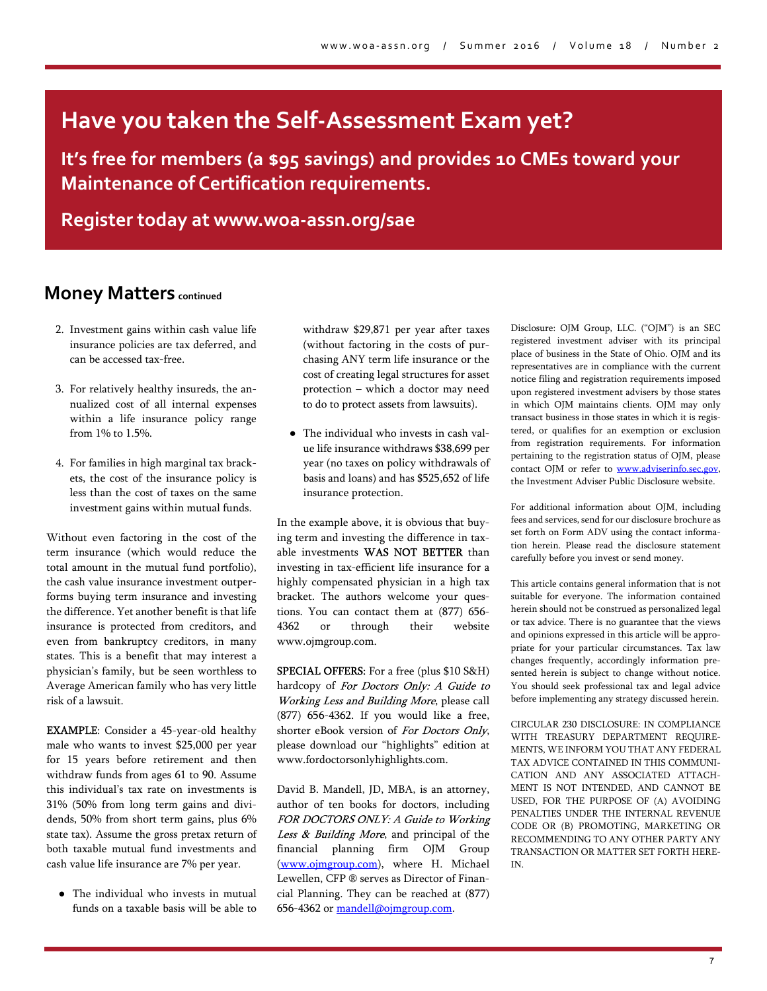# **Have you taken the Self-Assessment Exam yet?**

**It's free for members (a \$95 savings) and provides 10 CMEs toward your Maintenance of Certification requirements.**

**Register today at www.woa-assn.org/sae**

## **Money Matters continued**

- 2. Investment gains within cash value life insurance policies are tax deferred, and can be accessed tax-free.
- 3. For relatively healthy insureds, the annualized cost of all internal expenses within a life insurance policy range from 1% to 1.5%.
- 4. For families in high marginal tax brackets, the cost of the insurance policy is less than the cost of taxes on the same investment gains within mutual funds.

Without even factoring in the cost of the term insurance (which would reduce the total amount in the mutual fund portfolio), the cash value insurance investment outperforms buying term insurance and investing the difference. Yet another benefit is that life insurance is protected from creditors, and even from bankruptcy creditors, in many states. This is a benefit that may interest a physician's family, but be seen worthless to Average American family who has very little risk of a lawsuit.

EXAMPLE: Consider a 45-year-old healthy male who wants to invest \$25,000 per year for 15 years before retirement and then withdraw funds from ages 61 to 90. Assume this individual's tax rate on investments is 31% (50% from long term gains and dividends, 50% from short term gains, plus 6% state tax). Assume the gross pretax return of both taxable mutual fund investments and cash value life insurance are 7% per year.

● The individual who invests in mutual funds on a taxable basis will be able to

withdraw \$29,871 per year after taxes (without factoring in the costs of purchasing ANY term life insurance or the cost of creating legal structures for asset protection – which a doctor may need to do to protect assets from lawsuits).

● The individual who invests in cash value life insurance withdraws \$38,699 per year (no taxes on policy withdrawals of basis and loans) and has \$525,652 of life insurance protection.

In the example above, it is obvious that buying term and investing the difference in taxable investments WAS NOT BETTER than investing in tax-efficient life insurance for a highly compensated physician in a high tax bracket. The authors welcome your questions. You can contact them at (877) 656- 4362 or through their website www.ojmgroup.com.

SPECIAL OFFERS: For a free (plus \$10 S&H) hardcopy of For Doctors Only: A Guide to Working Less and Building More, please call (877) 656-4362. If you would like a free, shorter eBook version of For Doctors Only, please download our "highlights" edition at www.fordoctorsonlyhighlights.com.

David B. Mandell, JD, MBA, is an attorney, author of ten books for doctors, including FOR DOCTORS ONLY: A Guide to Working Less & Building More, and principal of the financial planning firm OJM Group [\(www.ojmgroup.com\)](www.ojmgroup.com), where H. Michael Lewellen, CFP ® serves as Director of Financial Planning. They can be reached at (877) 656-4362 or [mandell@ojmgroup.com](mailto:mandell@ojmgroup.com).

Disclosure: OJM Group, LLC. ("OJM") is an SEC registered investment adviser with its principal place of business in the State of Ohio. OJM and its representatives are in compliance with the current notice filing and registration requirements imposed upon registered investment advisers by those states in which OJM maintains clients. OJM may only transact business in those states in which it is registered, or qualifies for an exemption or exclusion from registration requirements. For information pertaining to the registration status of OJM, please contact OJM or refer to [www.adviserinfo.sec.gov,](www.adviserinfo.sec.gov) the Investment Adviser Public Disclosure website.

For additional information about OJM, including fees and services, send for our disclosure brochure as set forth on Form ADV using the contact information herein. Please read the disclosure statement carefully before you invest or send money.

This article contains general information that is not suitable for everyone. The information contained herein should not be construed as personalized legal or tax advice. There is no guarantee that the views and opinions expressed in this article will be appropriate for your particular circumstances. Tax law changes frequently, accordingly information presented herein is subject to change without notice. You should seek professional tax and legal advice before implementing any strategy discussed herein.

CIRCULAR 230 DISCLOSURE: IN COMPLIANCE WITH TREASURY DEPARTMENT REQUIRE-MENTS, WE INFORM YOU THAT ANY FEDERAL TAX ADVICE CONTAINED IN THIS COMMUNI-CATION AND ANY ASSOCIATED ATTACH-MENT IS NOT INTENDED, AND CANNOT BE USED, FOR THE PURPOSE OF (A) AVOIDING PENALTIES UNDER THE INTERNAL REVENUE CODE OR (B) PROMOTING, MARKETING OR RECOMMENDING TO ANY OTHER PARTY ANY TRANSACTION OR MATTER SET FORTH HERE-IN.